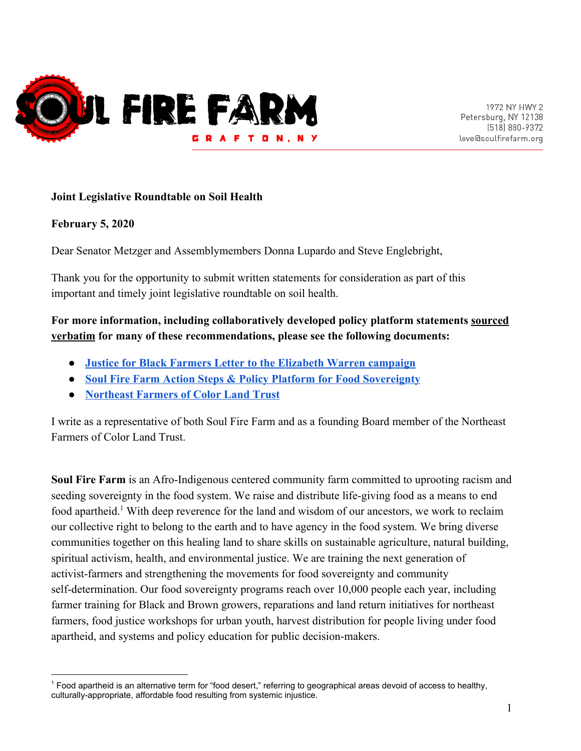

#### **Joint Legislative Roundtable on Soil Health**

#### **February 5, 2020**

Dear Senator Metzger and Assemblymembers Donna Lupardo and Steve Englebright,

Thank you for the opportunity to submit written statements for consideration as part of this important and timely joint legislative roundtable on soil health.

#### **For more information, including collaboratively developed policy platform statements sourced verbatim for many of these recommendations, please see the following documents:**

- **● [Justice for Black Farmers Letter to the Elizabeth Warren campaign](https://drive.google.com/open?id=0ByCM4PBW2v3LZlItdVRSWEd1LUxVVWhaeF8ydEV5TG1KXy1r)**
- **● [Soul Fire Farm Action Steps & Policy Platform for Food Sovereignty](https://docs.google.com/document/d/1dt0hicyhGdJSKlC3qyE1AbG9fdDrONjUh_M_bE0KMGs/edit?usp=sharing)**
- **● [Northeast Farmers of Color Land Trust](https://nefoclandtrust.org/)**

I write as a representative of both Soul Fire Farm and as a founding Board member of the Northeast Farmers of Color Land Trust.

**Soul Fire Farm** is an Afro-Indigenous centered community farm committed to uprooting racism and seeding sovereignty in the food system. We raise and distribute life-giving food as a means to end food apartheid.<sup>1</sup> With deep reverence for the land and wisdom of our ancestors, we work to reclaim our collective right to belong to the earth and to have agency in the food system. We bring diverse communities together on this healing land to share skills on sustainable agriculture, natural building, spiritual activism, health, and environmental justice. We are training the next generation of activist-farmers and strengthening the movements for food sovereignty and community self-determination. Our food sovereignty programs reach over 10,000 people each year, including farmer training for Black and Brown growers, reparations and land return initiatives for northeast farmers, food justice workshops for urban youth, harvest distribution for people living under food apartheid, and systems and policy education for public decision-makers.

<sup>1</sup> Food apartheid is an alternative term for "food desert," referring to geographical areas devoid of access to healthy, culturally-appropriate, affordable food resulting from systemic injustice.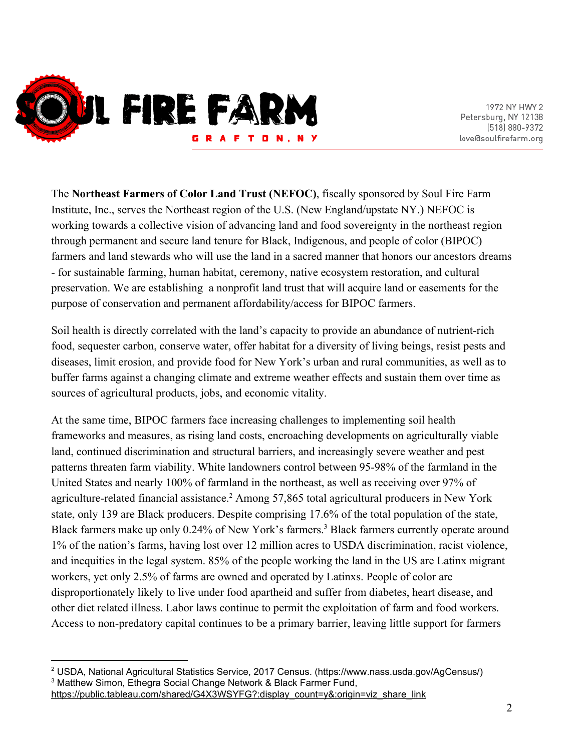

The **Northeast Farmers of Color Land Trust (NEFOC)**, fiscally sponsored by [Soul Fire Farm](http://www.soulfirefarm.org/) [Institute, Inc.](http://www.soulfirefarm.org/), serves the Northeast region of the U.S. (New England/upstate NY.) NEFOC is working towards a collective vision of advancing land and food sovereignty in the northeast region through permanent and secure land tenure for Black, Indigenous, and people of color (BIPOC) farmers and land stewards who will use the land in a sacred manner that honors our ancestors dreams - for sustainable farming, human habitat, ceremony, native ecosystem restoration, and cultural preservation. We are establishing a nonprofit land trust that will acquire land or easements for the purpose of conservation and permanent affordability/access for BIPOC farmers.

Soil health is directly correlated with the land's capacity to provide an abundance of nutrient-rich food, sequester carbon, conserve water, offer habitat for a diversity of living beings, resist pests and diseases, limit erosion, and provide food for New York's urban and rural communities, as well as to buffer farms against a changing climate and extreme weather effects and sustain them over time as sources of agricultural products, jobs, and economic vitality.

At the same time, BIPOC farmers face increasing challenges to implementing soil health frameworks and measures, as rising land costs, encroaching developments on agriculturally viable land, continued discrimination and structural barriers, and increasingly severe weather and pest patterns threaten farm viability. White landowners control between 95-98% of the farmland in the United States and nearly 100% of farmland in the northeast, as well as receiving over 97% of agriculture-related financial assistance.<sup>2</sup> Among 57,865 total agricultural producers in New York state, only 139 are Black producers. Despite comprising 17.6% of the total population of the state, Black farmers make up only 0.24% of New York's farmers.<sup>3</sup> Black farmers currently operate around 1% of the nation's farms, having lost over 12 million acres to USDA discrimination, racist violence, and inequities in the legal system. 85% of the people working the land in the US are Latinx migrant workers, yet only 2.5% of farms are owned and operated by Latinxs. People of color are disproportionately likely to live under food apartheid and suffer from diabetes, heart disease, and other diet related illness. Labor laws continue to permit the exploitation of farm and food workers. Access to non-predatory capital continues to be a primary barrier, leaving little support for farmers

<sup>2</sup> USDA, National Agricultural Statistics Service, 2017 Census. (https://www.nass.usda.gov/AgCensus/) <sup>3</sup> Matthew Simon, Ethegra Social Change Network & Black Farmer Fund,

[https://public.tableau.com/shared/G4X3WSYFG?:display\\_count=y&:origin=viz\\_share\\_link](https://public.tableau.com/shared/G4X3WSYFG?:display_count=y&:origin=viz_share_link)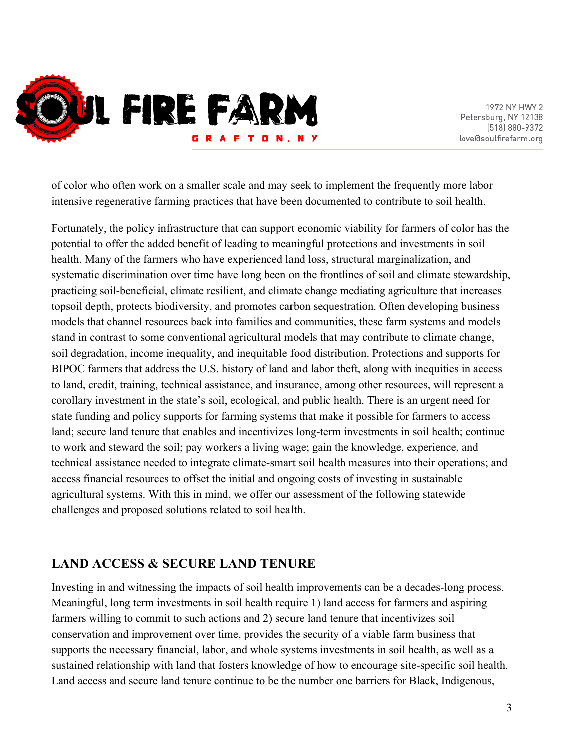

of color who often work on a smaller scale and may seek to implement the frequently more labor intensive regenerative farming practices that have been documented to contribute to soil health.

Fortunately, the policy infrastructure that can support economic viability for farmers of color has the potential to offer the added benefit of leading to meaningful protections and investments in soil health. Many of the farmers who have experienced land loss, structural marginalization, and systematic discrimination over time have long been on the frontlines of soil and climate stewardship, practicing soil-beneficial, climate resilient, and climate change mediating agriculture that increases topsoil depth, protects biodiversity, and promotes carbon sequestration. Often developing business models that channel resources back into families and communities, these farm systems and models stand in contrast to some conventional agricultural models that may contribute to climate change, soil degradation, income inequality, and inequitable food distribution. Protections and supports for BIPOC farmers that address the U.S. history of land and labor theft, along with inequities in access to land, credit, training, technical assistance, and insurance, among other resources, will represent a corollary investment in the state's soil, ecological, and public health. There is an urgent need for state funding and policy supports for farming systems that make it possible for farmers to access land; secure land tenure that enables and incentivizes long-term investments in soil health; continue to work and steward the soil; pay workers a living wage; gain the knowledge, experience, and technical assistance needed to integrate climate-smart soil health measures into their operations; and access financial resources to offset the initial and ongoing costs of investing in sustainable agricultural systems. With this in mind, we offer our assessment of the following statewide challenges and proposed solutions related to soil health.

## **LAND ACCESS & SECURE LAND TENURE**

Investing in and witnessing the impacts of soil health improvements can be a decades-long process. Meaningful, long term investments in soil health require 1) land access for farmers and aspiring farmers willing to commit to such actions and 2) secure land tenure that incentivizes soil conservation and improvement over time, provides the security of a viable farm business that supports the necessary financial, labor, and whole systems investments in soil health, as well as a sustained relationship with land that fosters knowledge of how to encourage site-specific soil health. Land access and secure land tenure continue to be the number one barriers for Black, Indigenous,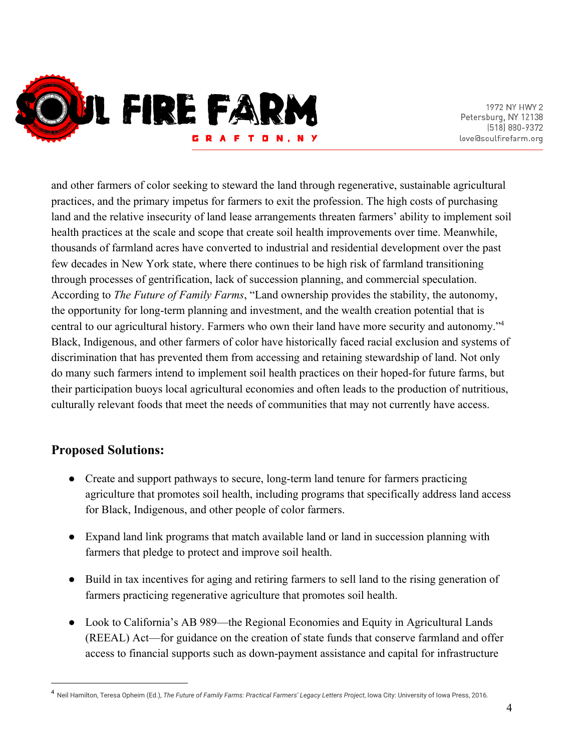

and other farmers of color seeking to steward the land through regenerative, sustainable agricultural practices, and the primary impetus for farmers to exit the profession. The high costs of purchasing land and the relative insecurity of land lease arrangements threaten farmers' ability to implement soil health practices at the scale and scope that create soil health improvements over time. Meanwhile, thousands of farmland acres have converted to industrial and residential development over the past few decades in New York state, where there continues to be high risk of farmland transitioning through processes of gentrification, lack of succession planning, and commercial speculation. According to *The Future of Family Farms*, "Land ownership provides the stability, the autonomy, the opportunity for long-term planning and investment, and the wealth creation potential that is central to our agricultural history. Farmers who own their land have more security and autonomy."<sup>4</sup> Black, Indigenous, and other farmers of color have historically faced racial exclusion and systems of discrimination that has prevented them from accessing and retaining stewardship of land. Not only do many such farmers intend to implement soil health practices on their hoped-for future farms, but their participation buoys local agricultural economies and often leads to the production of nutritious, culturally relevant foods that meet the needs of communities that may not currently have access.

# **Proposed Solutions:**

- Create and support pathways to secure, long-term land tenure for farmers practicing agriculture that promotes soil health, including programs that specifically address land access for Black, Indigenous, and other people of color farmers.
- Expand land link programs that match available land or land in succession planning with farmers that pledge to protect and improve soil health.
- Build in tax incentives for aging and retiring farmers to sell land to the rising generation of farmers practicing regenerative agriculture that promotes soil health.
- Look to California's AB 989—the [Regional Economies and Equity in Agricultural Lands](https://leginfo.legislature.ca.gov/faces/billNavClient.xhtml?bill_id=201920200AB986) [\(REEAL\) Act—](https://leginfo.legislature.ca.gov/faces/billNavClient.xhtml?bill_id=201920200AB986)for guidance on the creation of state funds that conserve farmland and offer access to financial supports such as down-payment assistance and capital for infrastructure

<sup>4</sup> Neil Hamilton, Teresa Opheim (Ed.), *The Future of Family Farms: Practical Farmers' Legacy Letters Project*, Iowa City: University of Iowa Press, 2016.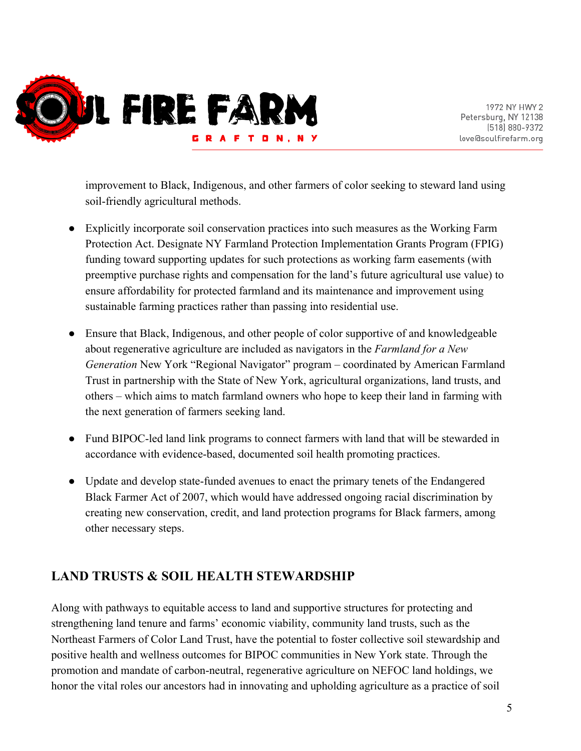

improvement to Black, Indigenous, and other farmers of color seeking to steward land using soil-friendly agricultural methods.

- Explicitly incorporate soil conservation practices into such measures as the Working Farm Protection Act. Designate NY Farmland Protection Implementation Grants Program (FPIG) funding toward supporting updates for such protections as working farm easements (with preemptive purchase rights and compensation for the land's future agricultural use value) to ensure affordability for protected farmland and its maintenance and improvement using sustainable farming practices rather than passing into residential use.
- Ensure that Black, Indigenous, and other people of color supportive of and knowledgeable about regenerative agriculture are included as navigators in the *Farmland for a New Generation* New York "Regional Navigator" program – coordinated by American Farmland Trust in partnership with the State of New York, agricultural organizations, land trusts, and others – which aims to match farmland owners who hope to keep their land in farming with the next generation of farmers seeking land.
- Fund BIPOC-led land link programs to connect farmers with land that will be stewarded in accordance with evidence-based, documented soil health promoting practices.
- Update and develop state-funded avenues to enact the primary tenets of the Endangered Black Farmer Act of 2007, which would have addressed ongoing racial discrimination by creating new conservation, credit, and land protection programs for Black farmers, among other necessary steps.

# **LAND TRUSTS & SOIL HEALTH STEWARDSHIP**

Along with pathways to equitable access to land and supportive structures for protecting and strengthening land tenure and farms' economic viability, community land trusts, such as the Northeast Farmers of Color Land Trust, have the potential to foster collective soil stewardship and positive health and wellness outcomes for BIPOC communities in New York state. Through the promotion and mandate of carbon-neutral, regenerative agriculture on NEFOC land holdings, we honor the vital roles our ancestors had in innovating and upholding agriculture as a practice of soil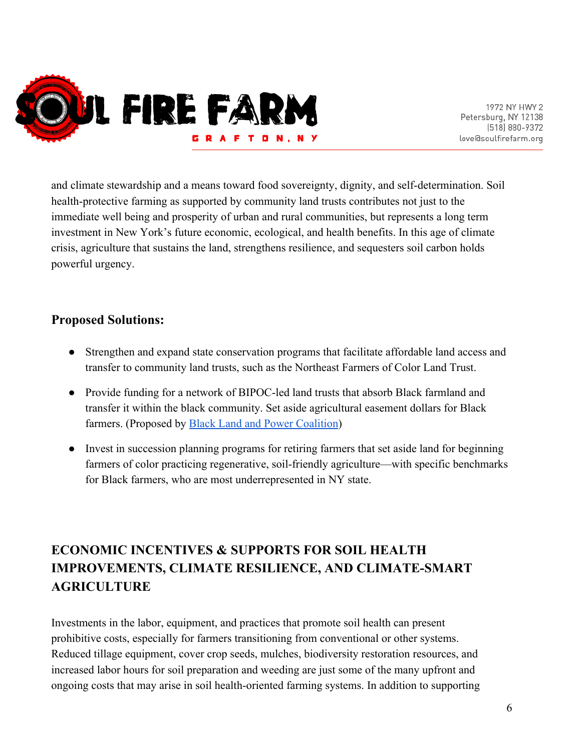

and climate stewardship and a means toward food sovereignty, dignity, and self-determination. Soil health-protective farming as supported by community land trusts contributes not just to the immediate well being and prosperity of urban and rural communities, but represents a long term investment in New York's future economic, ecological, and health benefits. In this age of climate crisis, agriculture that sustains the land, strengthens resilience, and sequesters soil carbon holds powerful urgency.

## **Proposed Solutions:**

- Strengthen and expand state conservation programs that facilitate affordable land access and transfer to community land trusts, such as the Northeast Farmers of Color Land Trust.
- Provide funding for a network of BIPOC-led land trusts that absorb Black farmland and transfer it within the black community. Set aside agricultural easement dollars for Black farmers. (Proposed by [Black Land and Power Coalition](https://www.blackfoodjustice.org/blacklandfund))
- Invest in succession planning programs for retiring farmers that set aside land for beginning farmers of color practicing regenerative, soil-friendly agriculture—with specific benchmarks for Black farmers, who are most underrepresented in NY state.

# **ECONOMIC INCENTIVES & SUPPORTS FOR SOIL HEALTH IMPROVEMENTS, CLIMATE RESILIENCE, AND CLIMATE-SMART AGRICULTURE**

Investments in the labor, equipment, and practices that promote soil health can present prohibitive costs, especially for farmers transitioning from conventional or other systems. Reduced tillage equipment, cover crop seeds, mulches, biodiversity restoration resources, and increased labor hours for soil preparation and weeding are just some of the many upfront and ongoing costs that may arise in soil health-oriented farming systems. In addition to supporting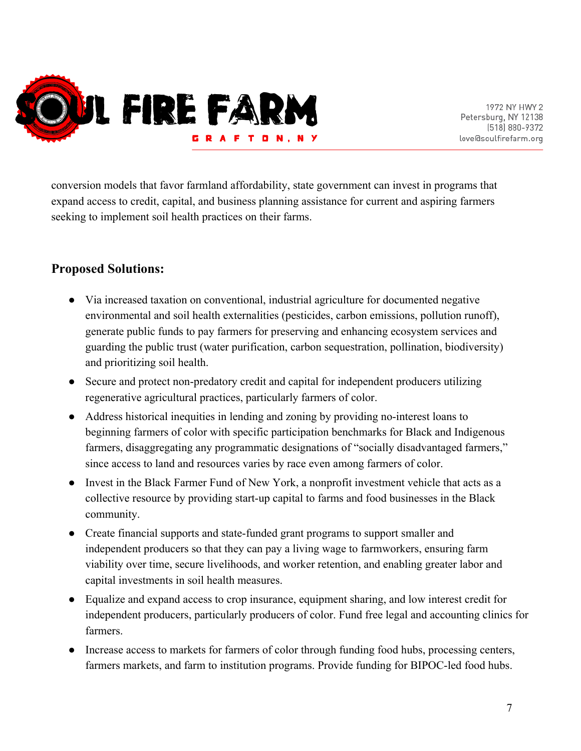

conversion models that favor farmland affordability, state government can invest in programs that expand access to credit, capital, and business planning assistance for current and aspiring farmers seeking to implement soil health practices on their farms.

## **Proposed Solutions:**

- Via increased taxation on conventional, industrial agriculture for documented negative environmental and soil health externalities (pesticides, carbon emissions, pollution runoff), generate public funds to pay farmers for preserving and enhancing ecosystem services and guarding the public trust (water purification, carbon sequestration, pollination, biodiversity) and prioritizing soil health.
- Secure and protect non-predatory credit and capital for independent producers utilizing regenerative agricultural practices, particularly farmers of color.
- Address historical inequities in lending and zoning by providing no-interest loans to beginning farmers of color with specific participation benchmarks for Black and Indigenous farmers, disaggregating any programmatic designations of "socially disadvantaged farmers," since access to land and resources varies by race even among farmers of color.
- Invest in the Black Farmer Fund of New York, a nonprofit investment vehicle that acts as a collective resource by providing start-up capital to farms and food businesses in the Black community.
- Create financial supports and state-funded grant programs to support smaller and independent producers so that they can pay a living wage to farmworkers, ensuring farm viability over time, secure livelihoods, and worker retention, and enabling greater labor and capital investments in soil health measures.
- Equalize and expand access to crop insurance, equipment sharing, and low interest credit for independent producers, particularly producers of color. Fund free legal and accounting clinics for farmers.
- Increase access to markets for farmers of color through funding food hubs, processing centers, farmers markets, and farm to institution programs. Provide funding for BIPOC-led food hubs.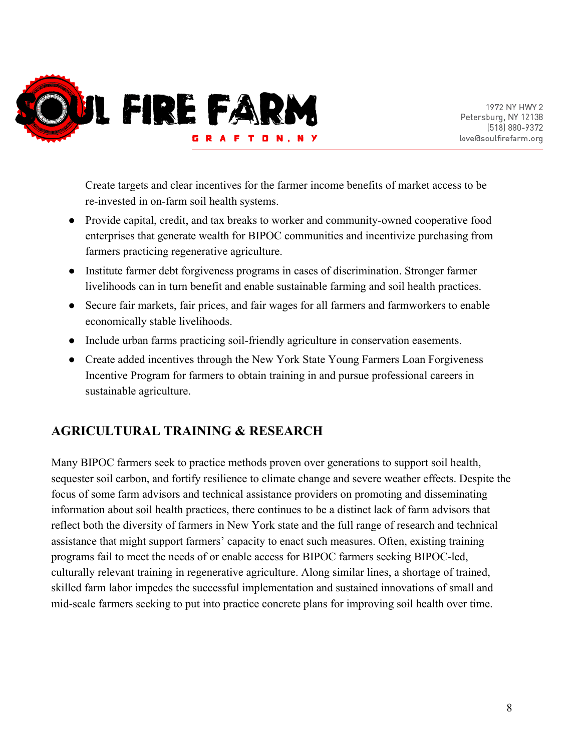

Create targets and clear incentives for the farmer income benefits of market access to be re-invested in on-farm soil health systems.

- Provide capital, credit, and tax breaks to worker and community-owned cooperative food enterprises that generate wealth for BIPOC communities and incentivize purchasing from farmers practicing regenerative agriculture.
- Institute farmer debt forgiveness programs in cases of discrimination. Stronger farmer livelihoods can in turn benefit and enable sustainable farming and soil health practices.
- Secure fair markets, fair prices, and fair wages for all farmers and farmworkers to enable economically stable livelihoods.
- Include urban farms practicing soil-friendly agriculture in conservation easements.
- Create added incentives through the New York State Young Farmers Loan Forgiveness Incentive Program for farmers to obtain training in and pursue professional careers in sustainable agriculture.

# **AGRICULTURAL TRAINING & RESEARCH**

Many BIPOC farmers seek to practice methods proven over generations to support soil health, sequester soil carbon, and fortify resilience to climate change and severe weather effects. Despite the focus of some farm advisors and technical assistance providers on promoting and disseminating information about soil health practices, there continues to be a distinct lack of farm advisors that reflect both the diversity of farmers in New York state and the full range of research and technical assistance that might support farmers' capacity to enact such measures. Often, existing training programs fail to meet the needs of or enable access for BIPOC farmers seeking BIPOC-led, culturally relevant training in regenerative agriculture. Along similar lines, a shortage of trained, skilled farm labor impedes the successful implementation and sustained innovations of small and mid-scale farmers seeking to put into practice concrete plans for improving soil health over time.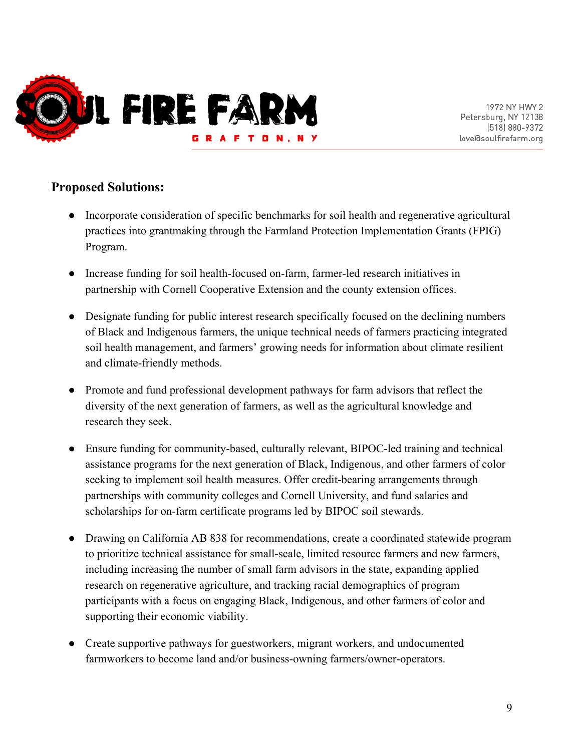

## **Proposed Solutions:**

- Incorporate consideration of specific benchmarks for soil health and regenerative agricultural practices into grantmaking through the Farmland Protection Implementation Grants (FPIG) Program.
- Increase funding for soil health-focused on-farm, farmer-led research initiatives in partnership with Cornell Cooperative Extension and the county extension offices.
- Designate funding for public interest research specifically focused on the declining numbers of Black and Indigenous farmers, the unique technical needs of farmers practicing integrated soil health management, and farmers' growing needs for information about climate resilient and climate-friendly methods.
- Promote and fund professional development pathways for farm advisors that reflect the diversity of the next generation of farmers, as well as the agricultural knowledge and research they seek.
- Ensure funding for community-based, culturally relevant, BIPOC-led training and technical assistance programs for the next generation of Black, Indigenous, and other farmers of color seeking to implement soil health measures. Offer credit-bearing arrangements through partnerships with community colleges and Cornell University, and fund salaries and scholarships for on-farm certificate programs led by BIPOC soil stewards.
- Drawing on California AB 838 for recommendations, create a coordinated statewide program to prioritize technical assistance for small-scale, limited resource farmers and new farmers, including increasing the number of small farm advisors in the state, expanding applied research on regenerative agriculture, and tracking racial demographics of program participants with a focus on engaging Black, Indigenous, and other farmers of color and supporting their economic viability.
- Create supportive pathways for guestworkers, migrant workers, and undocumented farmworkers to become land and/or business-owning farmers/owner-operators.